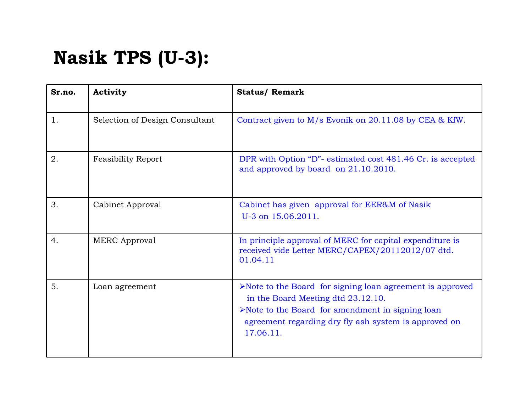## **Nasik TPS (U-3):**

| Sr.no. | <b>Activity</b>                | <b>Status/ Remark</b>                                                                                                                                                                                                                                     |
|--------|--------------------------------|-----------------------------------------------------------------------------------------------------------------------------------------------------------------------------------------------------------------------------------------------------------|
| 1.     | Selection of Design Consultant | Contract given to M/s Evonik on 20.11.08 by CEA & KfW.                                                                                                                                                                                                    |
| 2.     | <b>Feasibility Report</b>      | DPR with Option "D"- estimated cost 481.46 Cr. is accepted<br>and approved by board on 21.10.2010.                                                                                                                                                        |
| 3.     | Cabinet Approval               | Cabinet has given approval for EER&M of Nasik<br>U-3 on 15.06.2011.                                                                                                                                                                                       |
| 4.     | <b>MERC</b> Approval           | In principle approval of MERC for capital expenditure is<br>received vide Letter MERC/CAPEX/20112012/07 dtd.<br>01.04.11                                                                                                                                  |
| 5.     | Loan agreement                 | $\triangleright$ Note to the Board for signing loan agreement is approved<br>in the Board Meeting dtd 23.12.10.<br>$\triangleright$ Note to the Board for amendment in signing loan<br>agreement regarding dry fly ash system is approved on<br>17.06.11. |